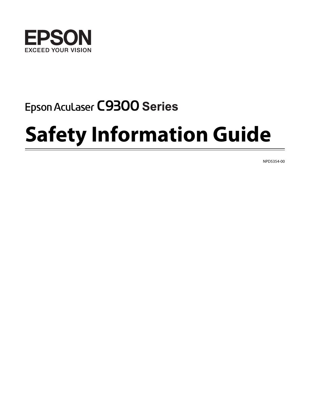

# Epson Aculaser C9300 Series

# **Safety Information Guide**

NPD5354-00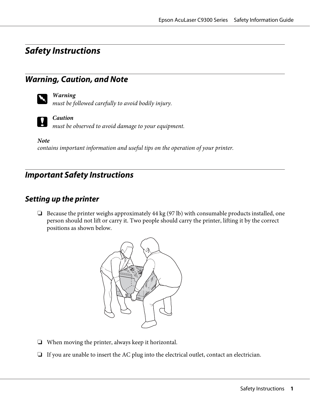# **Safety Instructions**

# **Warning, Caution, and Note**



### w *Warning*

*must be followed carefully to avoid bodily injury.*

### c *Caution*

*must be observed to avoid damage to your equipment.*

*Note contains important information and useful tips on the operation of your printer.*

# **Important Safety Instructions**

# **Setting up the printer**

❏ Because the printer weighs approximately 44 kg (97 lb) with consumable products installed, one person should not lift or carry it. Two people should carry the printer, lifting it by the correct positions as shown below.



- ❏ When moving the printer, always keep it horizontal.
- ❏ If you are unable to insert the AC plug into the electrical outlet, contact an electrician.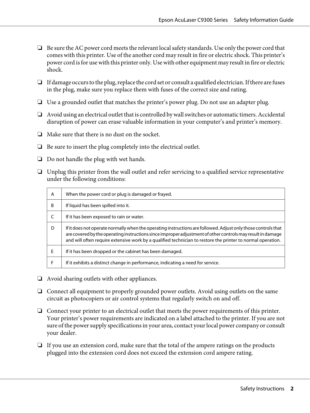- ❏ Be sure the AC power cord meets the relevant local safety standards. Use only the power cord that comes with this printer. Use of the another cord may result in fire or electric shock. This printer's power cord is for use with this printer only. Use with other equipment may result in fire or electric shock.
- ❏ If damage occurs to the plug, replace the cord set or consult a qualified electrician. If there are fuses in the plug, make sure you replace them with fuses of the correct size and rating.
- ❏ Use a grounded outlet that matches the printer's power plug. Do not use an adapter plug.
- ❏ Avoid using an electrical outlet that is controlled by wall switches or automatic timers. Accidental disruption of power can erase valuable information in your computer's and printer's memory.
- ❏ Make sure that there is no dust on the socket.
- ❏ Be sure to insert the plug completely into the electrical outlet.
- ❏ Do not handle the plug with wet hands.
- ❏ Unplug this printer from the wall outlet and refer servicing to a qualified service representative under the following conditions:

| A  | When the power cord or plug is damaged or frayed.                                                                                                                                                                                                                                                                                          |
|----|--------------------------------------------------------------------------------------------------------------------------------------------------------------------------------------------------------------------------------------------------------------------------------------------------------------------------------------------|
| B  | If liquid has been spilled into it.                                                                                                                                                                                                                                                                                                        |
|    | If it has been exposed to rain or water.                                                                                                                                                                                                                                                                                                   |
| D  | If it does not operate normally when the operating instructions are followed. Adjust only those controls that<br>are covered by the operating instructions since improper adjustment of other controls may result in damage<br>and will often require extensive work by a qualified technician to restore the printer to normal operation. |
| F. | If it has been dropped or the cabinet has been damaged.                                                                                                                                                                                                                                                                                    |
|    | If it exhibits a distinct change in performance, indicating a need for service.                                                                                                                                                                                                                                                            |

- ❏ Avoid sharing outlets with other appliances.
- ❏ Connect all equipment to properly grounded power outlets. Avoid using outlets on the same circuit as photocopiers or air control systems that regularly switch on and off.
- ❏ Connect your printer to an electrical outlet that meets the power requirements of this printer. Your printer's power requirements are indicated on a label attached to the printer. If you are not sure of the power supply specifications in your area, contact your local power company or consult your dealer.
- ❏ If you use an extension cord, make sure that the total of the ampere ratings on the products plugged into the extension cord does not exceed the extension cord ampere rating.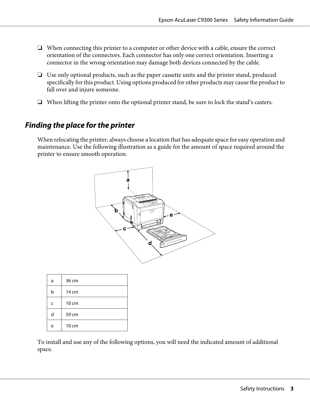- ❏ When connecting this printer to a computer or other device with a cable, ensure the correct orientation of the connectors. Each connector has only one correct orientation. Inserting a connector in the wrong orientation may damage both devices connected by the cable.
- ❏ Use only optional products, such as the paper cassette units and the printer stand, produced specifically for this product. Using options produced for other products may cause the product to fall over and injure someone.
- ❏ When lifting the printer onto the optional printer stand, be sure to lock the stand's casters.

# **Finding the place for the printer**

When relocating the printer, always choose a location that has adequate space for easy operation and maintenance. Use the following illustration as a guide for the amount of space required around the printer to ensure smooth operation.



| a | 36 cm |
|---|-------|
| b | 14 cm |
| C | 10 cm |
| d | 59 cm |
| e | 10 cm |

To install and use any of the following options, you will need the indicated amount of additional space.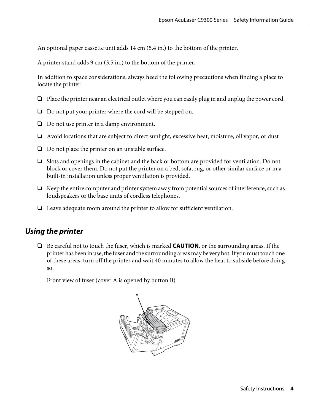An optional paper cassette unit adds 14 cm (5.4 in.) to the bottom of the printer.

A printer stand adds 9 cm (3.5 in.) to the bottom of the printer.

In addition to space considerations, always heed the following precautions when finding a place to locate the printer:

- ❏ Place the printer near an electrical outlet where you can easily plug in and unplug the power cord.
- ❏ Do not put your printer where the cord will be stepped on.
- ❏ Do not use printer in a damp environment.
- ❏ Avoid locations that are subject to direct sunlight, excessive heat, moisture, oil vapor, or dust.
- ❏ Do not place the printer on an unstable surface.
- ❏ Slots and openings in the cabinet and the back or bottom are provided for ventilation. Do not block or cover them. Do not put the printer on a bed, sofa, rug, or other similar surface or in a built-in installation unless proper ventilation is provided.
- ❏ Keep the entire computer and printer system away from potential sources of interference, such as loudspeakers or the base units of cordless telephones.
- ❏ Leave adequate room around the printer to allow for sufficient ventilation.

# **Using the printer**

❏ Be careful not to touch the fuser, which is marked **CAUTION**, or the surrounding areas. If the printer has been in use, the fuser and the surrounding areas may be very hot. If you must touch one of these areas, turn off the printer and wait 40 minutes to allow the heat to subside before doing so.

Front view of fuser (cover A is opened by button B)

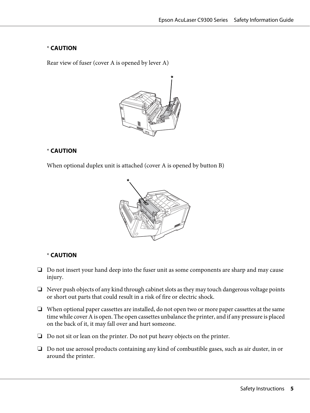### \* **CAUTION**

Rear view of fuser (cover A is opened by lever A)



### \* **CAUTION**

When optional duplex unit is attached (cover A is opened by button B)



### \* **CAUTION**

- ❏ Do not insert your hand deep into the fuser unit as some components are sharp and may cause injury.
- ❏ Never push objects of any kind through cabinet slots as they may touch dangerous voltage points or short out parts that could result in a risk of fire or electric shock.
- ❏ When optional paper cassettes are installed, do not open two or more paper cassettes at the same time while cover A is open. The open cassettes unbalance the printer, and if any pressure is placed on the back of it, it may fall over and hurt someone.
- ❏ Do not sit or lean on the printer. Do not put heavy objects on the printer.
- ❏ Do not use aerosol products containing any kind of combustible gases, such as air duster, in or around the printer.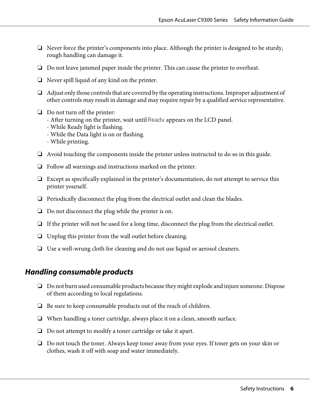- ❏ Never force the printer's components into place. Although the printer is designed to be sturdy, rough handling can damage it.
- ❏ Do not leave jammed paper inside the printer. This can cause the printer to overheat.
- ❏ Never spill liquid of any kind on the printer.
- ❏ Adjust only those controls that are covered by the operating instructions. Improper adjustment of other controls may result in damage and may require repair by a qualified service representative.
- ❏ Do not turn off the printer:
	- After turning on the printer, wait until  $\mathbb{R}$  and  $\mathbb{R}$  appears on the LCD panel.
	- While Ready light is flashing.
	- While the Data light is on or flashing.
	- While printing.
- ❏ Avoid touching the components inside the printer unless instructed to do so in this guide.
- ❏ Follow all warnings and instructions marked on the printer.
- ❏ Except as specifically explained in the printer's documentation, do not attempt to service this printer yourself.
- ❏ Periodically disconnect the plug from the electrical outlet and clean the blades.
- ❏ Do not disconnect the plug while the printer is on.
- ❏ If the printer will not be used for a long time, disconnect the plug from the electrical outlet.
- ❏ Unplug this printer from the wall outlet before cleaning.
- ❏ Use a well-wrung cloth for cleaning and do not use liquid or aerosol cleaners.

### **Handling consumable products**

- ❏ Do not burn used consumable products because they might explode and injure someone. Dispose of them according to local regulations.
- ❏ Be sure to keep consumable products out of the reach of children.
- ❏ When handling a toner cartridge, always place it on a clean, smooth surface.
- ❏ Do not attempt to modify a toner cartridge or take it apart.
- ❏ Do not touch the toner. Always keep toner away from your eyes. If toner gets on your skin or clothes, wash it off with soap and water immediately.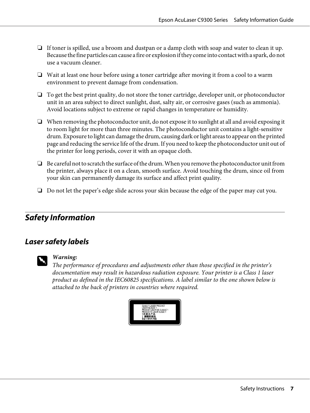- ❏ If toner is spilled, use a broom and dustpan or a damp cloth with soap and water to clean it up. Because the fine particles can cause a fire or explosion if they come into contact with a spark, do not use a vacuum cleaner.
- ❏ Wait at least one hour before using a toner cartridge after moving it from a cool to a warm environment to prevent damage from condensation.
- ❏ To get the best print quality, do not store the toner cartridge, developer unit, or photoconductor unit in an area subject to direct sunlight, dust, salty air, or corrosive gases (such as ammonia). Avoid locations subject to extreme or rapid changes in temperature or humidity.
- ❏ When removing the photoconductor unit, do not expose it to sunlight at all and avoid exposing it to room light for more than three minutes. The photoconductor unit contains a light-sensitive drum. Exposure to light can damage the drum, causing dark or light areas to appear on the printed page and reducing the service life of the drum. If you need to keep the photoconductor unit out of the printer for long periods, cover it with an opaque cloth.
- ❏ Be careful not to scratch the surface of the drum. When you remove the photoconductor unit from the printer, always place it on a clean, smooth surface. Avoid touching the drum, since oil from your skin can permanently damage its surface and affect print quality.
- ❏ Do not let the paper's edge slide across your skin because the edge of the paper may cut you.

# **Safety Information**

# **Laser safety labels**



### w *Warning:*

*The performance of procedures and adjustments other than those specified in the printer's documentation may result in hazardous radiation exposure. Your printer is a Class 1 laser product as defined in the IEC60825 specifications. A label similar to the one shown below is attached to the back of printers in countries where required.*

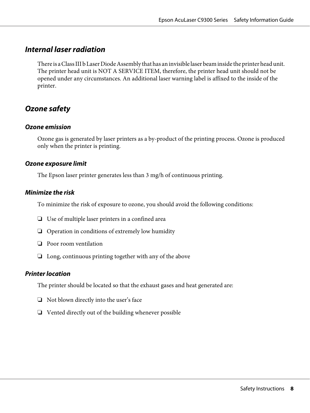# **Internal laser radiation**

There is a Class III b Laser Diode Assembly that has an invisible laser beam inside the printer head unit. The printer head unit is NOT A SERVICE ITEM, therefore, the printer head unit should not be opened under any circumstances. An additional laser warning label is affixed to the inside of the printer.

# **Ozone safety**

### **Ozone emission**

Ozone gas is generated by laser printers as a by-product of the printing process. Ozone is produced only when the printer is printing.

### **Ozone exposure limit**

The Epson laser printer generates less than 3 mg/h of continuous printing.

### **Minimize the risk**

To minimize the risk of exposure to ozone, you should avoid the following conditions:

- ❏ Use of multiple laser printers in a confined area
- ❏ Operation in conditions of extremely low humidity
- ❏ Poor room ventilation
- ❏ Long, continuous printing together with any of the above

### **Printer location**

The printer should be located so that the exhaust gases and heat generated are:

- ❏ Not blown directly into the user's face
- ❏ Vented directly out of the building whenever possible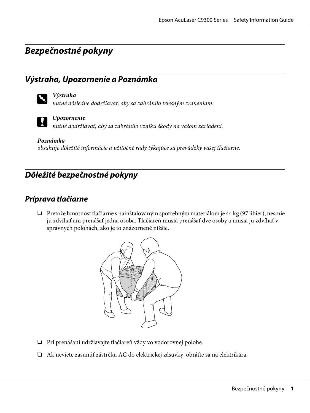# **Bezpečnostné pokyny**

# **Výstraha, Upozornenie a Poznámka**



### w *Výstraha*

*nutné dôsledne dodržiavať, aby sa zabránilo telesným zraneniam.*



### c *Upozornenie*

*nutné dodržiavať, aby sa zabránilo vzniku škody na vašom zariadení.*

*Poznámka obsahuje dôležité informácie a užitočné rady týkajúce sa prevádzky vašej tlačiarne.*

# **Dôležité bezpečnostné pokyny**

# **Príprava tlačiarne**

❏ Pretože hmotnosť tlačiarne s nainštalovaným spotrebným materiálom je 44 kg (97 libier), nesmie ju zdvíhať ani prenášať jedna osoba. Tlačiareň musia prenášať dve osoby a musia ju zdvíhať v správnych polohách, ako je to znázornené nižšie.



- ❏ Pri prenášaní udržiavajte tlačiareň vždy vo vodorovnej polohe.
- ❏ Ak neviete zasunúť zástrčku AC do elektrickej zásuvky, obráťte sa na elektrikára.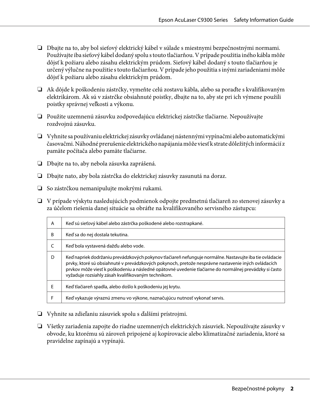- ❏ Dbajte na to, aby bol sieťový elektrický kábel v súlade s miestnymi bezpečnostnými normami. Používajte iba sieťový kábel dodaný spolu s touto tlačiarňou. V prípade použitia iného kábla môže dôjsť k požiaru alebo zásahu elektrickým prúdom. Sieťový kábel dodaný s touto tlačiarňou je určený výlučne na použitie s touto tlačiarňou. V prípade jeho použitia s inými zariadeniami môže dôjsť k požiaru alebo zásahu elektrickým prúdom.
- ❏ Ak dôjde k poškodeniu zástrčky, vymeňte celú zostavu kábla, alebo sa poraďte s kvalifikovaným elektrikárom. Ak sú v zástrčke obsiahnuté poistky, dbajte na to, aby ste pri ich výmene použili poistky správnej veľkosti a výkonu.
- ❏ Použite uzemnenú zásuvku zodpovedajúcu elektrickej zástrčke tlačiarne. Nepoužívajte rozdvojnú zásuvku.
- ❏ Vyhnite sa používaniu elektrickej zásuvky ovládanej nástennými vypínačmi alebo automatickými časovačmi. Náhodné prerušenie elektrického napájania môže viesť k strate dôležitých informácií z pamäte počítača alebo pamäte tlačiarne.
- ❏ Dbajte na to, aby nebola zásuvka zaprášená.
- ❏ Dbajte nato, aby bola zástrčka do elektrickej zásuvky zasunutá na doraz.
- ❏ So zástrčkou nemanipulujte mokrými rukami.
- ❏ V prípade výskytu nasledujúcich podmienok odpojte predmetnú tlačiareň zo stenovej zásuvky a za účelom riešenia danej situácie sa obráťte na kvalifikovaného servisného zástupcu:

| A  | Keď sú sieťový kábel alebo zástrčka poškodené alebo rozstrapkané.                                                                                                                                                                                                                                                                                                           |
|----|-----------------------------------------------------------------------------------------------------------------------------------------------------------------------------------------------------------------------------------------------------------------------------------------------------------------------------------------------------------------------------|
| B  | Keď sa do nej dostala tekutina.                                                                                                                                                                                                                                                                                                                                             |
|    | Keď bola vystavená dažďu alebo vode.                                                                                                                                                                                                                                                                                                                                        |
| D. | Keď napriek dodržaniu prevádzkových pokynov tlačiareň nefunguje normálne. Nastavujte iba tie ovládacie<br>prvky, ktoré sú obsiahnuté v prevádzkových pokynoch, pretože nesprávne nastavenie iných ovládacích<br>prvkov môže viesť k poškodeniu a následné opätovné uvedenie tlačiarne do normálnej prevádzky si často<br>vyžaduje rozsiahly zásah kvalifikovaným technikom. |
| F  | Keď tlačiareň spadla, alebo došlo k poškodeniu jej krytu.                                                                                                                                                                                                                                                                                                                   |
|    | Keď vykazuje výraznú zmenu vo výkone, naznačujúcu nutnosť vykonať servis.                                                                                                                                                                                                                                                                                                   |

- ❏ Vyhnite sa zdieľaniu zásuviek spolu s ďalšími prístrojmi.
- ❏ Všetky zariadenia zapojte do riadne uzemnených elektrických zásuviek. Nepoužívajte zásuvky v obvode, ku ktorému sú zároveň pripojené aj kopírovacie alebo klimatizačné zariadenia, ktoré sa pravidelne zapínajú a vypínajú.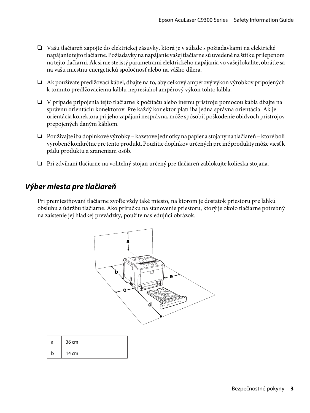- ❏ Vašu tlačiareň zapojte do elektrickej zásuvky, ktorá je v súlade s požiadavkami na elektrické napájanie tejto tlačiarne. Požiadavky na napájanie vašej tlačiarne sú uvedené na štítku prilepenom na tejto tlačiarni. Ak si nie ste istý parametrami elektrického napájania vo vašej lokalite, obráťte sa na vašu miestnu energetickú spoločnosť alebo na vášho dílera.
- ❏ Ak používate predlžovací kábel, dbajte na to, aby celkový ampérový výkon výrobkov pripojených k tomuto predlžovaciemu káblu nepresiahol ampérový výkon tohto kábla.
- ❏ V prípade pripojenia tejto tlačiarne k počítaču alebo inému prístroju pomocou kábla dbajte na správnu orientáciu konektorov. Pre každý konektor platí iba jedna správna orientácia. Ak je orientácia konektora pri jeho zapájaní nesprávna, môže spôsobiť poškodenie obidvoch prístrojov prepojených daným káblom.
- ❏ Používajte iba doplnkové výrobky kazetové jednotky na papier a stojany na tlačiareň ktoré boli vyrobené konkrétne pre tento produkt. Použitie doplnkov určených pre iné produkty môže viesť k pádu produktu a zraneniam osôb.
- ❏ Pri zdvíhaní tlačiarne na voliteľný stojan určený pre tlačiareň zablokujte kolieska stojana.

# **Výber miesta pre tlačiareň**

Pri premiestňovaní tlačiarne zvoľte vždy také miesto, na ktorom je dostatok priestoru pre ľahkú obsluhu a údržbu tlačiarne. Ako príručku na stanovenie priestoru, ktorý je okolo tlačiarne potrebný na zaistenie jej hladkej prevádzky, použite nasledujúci obrázok.



| a | 36 cm |
|---|-------|
| b | 14 cm |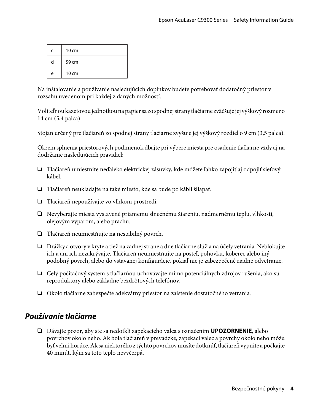| C | $10 \text{ cm}$ |
|---|-----------------|
| d | 59 cm           |
| e | 10 cm           |

Na inštalovanie a používanie nasledujúcich doplnkov budete potrebovať dodatočný priestor v rozsahu uvedenom pri každej z daných možností.

Voliteľnou kazetovou jednotkou na papier sa zo spodnej strany tlačiarne zväčšuje jej výškový rozmer o 14 cm (5,4 palca).

Stojan určený pre tlačiareň zo spodnej strany tlačiarne zvyšuje jej výškový rozdiel o 9 cm (3,5 palca).

Okrem splnenia priestorových podmienok dbajte pri výbere miesta pre osadenie tlačiarne vždy aj na dodržanie nasledujúcich pravidiel:

- ❏ Tlačiareň umiestnite neďaleko elektrickej zásuvky, kde môžete ľahko zapojiť aj odpojiť sieťový kábel.
- ❏ Tlačiareň neukladajte na také miesto, kde sa bude po kábli šliapať.
- ❏ Tlačiareň nepoužívajte vo vlhkom prostredí.
- ❏ Nevyberajte miesta vystavené priamemu slnečnému žiareniu, nadmernému teplu, vlhkosti, olejovým výparom, alebo prachu.
- ❏ Tlačiareň neumiestňujte na nestabilný povrch.
- ❏ Drážky a otvory v kryte a tiež na zadnej strane a dne tlačiarne slúžia na účely vetrania. Neblokujte ich a ani ich nezakrývajte. Tlačiareň neumiestňujte na posteľ, pohovku, koberec alebo iný podobný povrch, alebo do vstavanej konfigurácie, pokiaľ nie je zabezpečené riadne odvetranie.
- ❏ Celý počítačový systém s tlačiarňou uchovávajte mimo potenciálnych zdrojov rušenia, ako sú reproduktory alebo základne bezdrôtových telefónov.
- ❏ Okolo tlačiarne zabezpečte adekvátny priestor na zaistenie dostatočného vetrania.

## **Používanie tlačiarne**

❏ Dávajte pozor, aby ste sa nedotkli zapekacieho valca s označením **UPOZORNENIE**, alebo povrchov okolo neho. Ak bola tlačiareň v prevádzke, zapekací valec a povrchy okolo neho môžu byť veľmi horúce. Ak sa niektorého z týchto povrchov musíte dotknúť, tlačiareň vypnite a počkajte 40 minút, kým sa toto teplo nevyčerpá.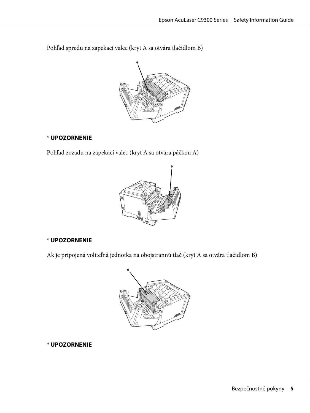Pohľad spredu na zapekací valec (kryt A sa otvára tlačidlom B)



### \* **UPOZORNENIE**

Pohľad zozadu na zapekací valec (kryt A sa otvára páčkou A)



### \* **UPOZORNENIE**

Ak je pripojená voliteľná jednotka na obojstrannú tlač (kryt A sa otvára tlačidlom B)



\* **UPOZORNENIE**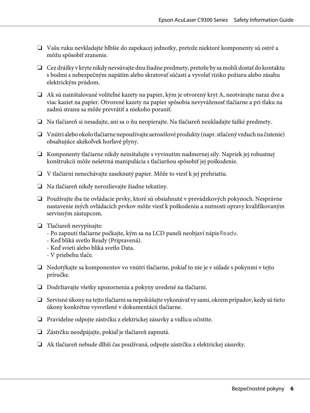- ❏ Vašu ruku nevkladajte hlbšie do zapekacej jednotky, pretože niektoré komponenty sú ostré a môžu spôsobiť zranenie.
- ❏ Cez drážky v kryte nikdy nevsúvajte dnu žiadne predmety, pretože by sa mohli dostať do kontaktu s bodmi s nebezpečným napätím alebo skratovať súčasti a vyvolať riziko požiaru alebo zásahu elektrickým prúdom.
- ❏ Ak sú nainštalované voliteľné kazety na papier, kým je otvorený kryt A, neotvárajte naraz dve a viac kaziet na papier. Otvorené kazety na papier spôsobia nevyváženosť tlačiarne a pri tlaku na zadnú stranu sa môže prevrátiť a niekoho poraniť.
- ❏ Na tlačiareň si nesadajte, ani sa o ňu neopierajte. Na tlačiareň neukladajte ťažké predmety.
- ❏ Vnútri alebo okolo tlačiarne nepoužívajte aerosólové produkty (napr. stlačený vzduch na čistenie) obsahujúce akékoľvek horľavé plyny.
- ❏ Komponenty tlačiarne nikdy neinštalujte s vyvinutím nadmernej sily. Napriek jej robustnej konštrukcii môže nešetrná manipulácia s tlačiarňou spôsobiť jej poškodenie.
- ❏ V tlačiarni nenechávajte zaseknutý papier. Môže to viesť k jej prehriatiu.
- ❏ Na tlačiareň nikdy nerozlievajte žiadne tekutiny.
- ❏ Používajte iba tie ovládacie prvky, ktoré sú obsiahnuté v prevádzkových pokynoch. Nesprávne nastavenie iných ovládacích prvkov môže viesť k poškodeniu a nutnosti opravy kvalifikovaným servisným zástupcom.
- ❏ Tlačiareň nevypínajte:
	- Po zapnutí tlačiarne počkajte, kým sa na LCD paneli neobjaví nápis Ready.
	- Keď bliká svetlo Ready (Pripravená).
	- Keď svieti alebo bliká svetlo Data.
	- V priebehu tlače.
- ❏ Nedotýkajte sa komponentov vo vnútri tlačiarne, pokiaľ to nie je v súlade s pokynmi v tejto príručke.
- ❏ Dodržiavajte všetky upozornenia a pokyny uvedené na tlačiarni.
- ❏ Servisné úkony na tejto tlačiarni sa nepokúšajte vykonávať vy sami, okrem prípadov, kedy sú tieto úkony konkrétne vysvetlené v dokumentácii tlačiarne.
- ❏ Pravidelne odpojte zástrčku z elektrickej zásuvky a vidlicu očistite.
- ❏ Zástrčku neodpájajte, pokiaľ je tlačiareň zapnutá.
- ❏ Ak tlačiareň nebude dlhší čas používaná, odpojte zástrčku z elektrickej zásuvky.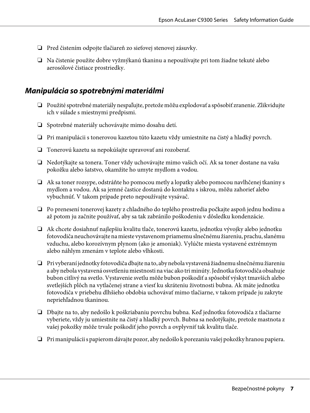- ❏ Pred čistením odpojte tlačiareň zo sieťovej stenovej zásuvky.
- ❏ Na čistenie použite dobre vyžmýkanú tkaninu a nepoužívajte pri tom žiadne tekuté alebo aerosólové čistiace prostriedky.

# **Manipulácia so spotrebnými materiálmi**

- ❏ Použité spotrebné materiály nespaľujte, pretože môžu explodovať a spôsobiť zranenie. Zlikvidujte ich v súlade s miestnymi predpismi.
- ❏ Spotrebné materiály uchovávajte mimo dosahu detí.
- ❏ Pri manipulácii s tonerovou kazetou túto kazetu vždy umiestnite na čistý a hladký povrch.
- ❏ Tonerovú kazetu sa nepokúšajte upravovať ani rozoberať.
- ❏ Nedotýkajte sa tonera. Toner vždy uchovávajte mimo vašich očí. Ak sa toner dostane na vašu pokožku alebo šatstvo, okamžite ho umyte mydlom a vodou.
- ❏ Ak sa toner rozsype, odstráňte ho pomocou metly a lopatky alebo pomocou navlhčenej tkaniny s mydlom a vodou. Ak sa jemné častice dostanú do kontaktu s iskrou, môžu zahorieť alebo vybuchnúť. V takom prípade preto nepoužívajte vysávač.
- ❏ Po prenesení tonerovej kazety z chladného do teplého prostredia počkajte aspoň jednu hodinu a až potom ju začnite používať, aby sa tak zabránilo poškodeniu v dôsledku kondenzácie.
- ❏ Ak chcete dosiahnuť najlepšiu kvalitu tlače, tonerovú kazetu, jednotku vývojky alebo jednotku fotovodiča neuchovávajte na mieste vystavenom priamemu slnečnému žiareniu, prachu, slanému vzduchu, alebo korozívnym plynom (ako je amoniak). Vylúčte miesta vystavené extrémnym alebo náhlym zmenám v teplote alebo vlhkosti.
- ❏ Pri vyberaní jednotky fotovodiča dbajte na to, aby nebola vystavená žiadnemu slnečnému žiareniu a aby nebola vystavená osvetleniu miestnosti na viac ako tri minúty. Jednotka fotovodiča obsahuje bubon citlivý na svetlo. Vystavenie svetlu môže bubon poškodiť a spôsobiť výskyt tmavších alebo svetlejších plôch na vytlačenej strane a viesť ku skráteniu životnosti bubna. Ak máte jednotku fotovodiča v priebehu dlhšieho obdobia uchovávať mimo tlačiarne, v takom prípade ju zakryte nepriehľadnou tkaninou.
- ❏ Dbajte na to, aby nedošlo k poškriabaniu povrchu bubna. Keď jednotku fotovodiča z tlačiarne vyberiete, vždy ju umiestnite na čistý a hladký povrch. Bubna sa nedotýkajte, pretože mastnota z vašej pokožky môže trvale poškodiť jeho povrch a ovplyvniť tak kvalitu tlače.
- ❏ Pri manipulácii s papierom dávajte pozor, aby nedošlo k porezaniu vašej pokožky hranou papiera.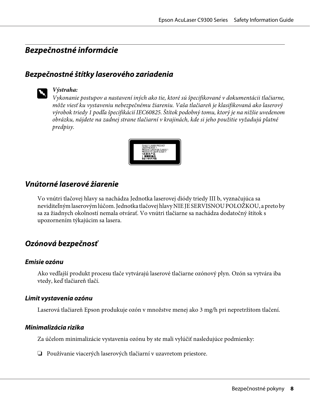# **Bezpečnostné informácie**

# **Bezpečnostné štítky laserového zariadenia**



### w *Výstraha:*

*Vykonanie postupov a nastavení iných ako tie, ktoré sú špecifikované v dokumentácii tlačiarne, môže viesť ku vystaveniu nebezpečnému žiareniu. Vaša tlačiareň je klasifikovaná ako laserový výrobok triedy 1 podľa špecifikácií IEC60825. Štítok podobný tomu, ktorý je na nižšie uvedenom obrázku, nájdete na zadnej strane tlačiarní v krajinách, kde si jeho použitie vyžadujú platné predpisy.*



## **Vnútorné laserové žiarenie**

Vo vnútri tlačovej hlavy sa nachádza Jednotka laserovej diódy triedy III b, vyznačujúca sa neviditeľným laserovým lúčom. Jednotka tlačovej hlavy NIE JE SERVISNOU POLOŽKOU, a preto by sa za žiadnych okolností nemala otvárať. Vo vnútri tlačiarne sa nachádza dodatočný štítok s upozornením týkajúcim sa lasera.

# **Ozónová bezpečnosť**

### **Emisie ozónu**

Ako vedľajší produkt procesu tlače vytvárajú laserové tlačiarne ozónový plyn. Ozón sa vytvára iba vtedy, keď tlačiareň tlačí.

### **Limit vystavenia ozónu**

Laserová tlačiareň Epson produkuje ozón v množstve menej ako 3 mg/h pri nepretržitom tlačení.

### **Minimalizácia rizika**

Za účelom minimalizácie vystavenia ozónu by ste mali vylúčiť nasledujúce podmienky:

❏ Používanie viacerých laserových tlačiarní v uzavretom priestore.